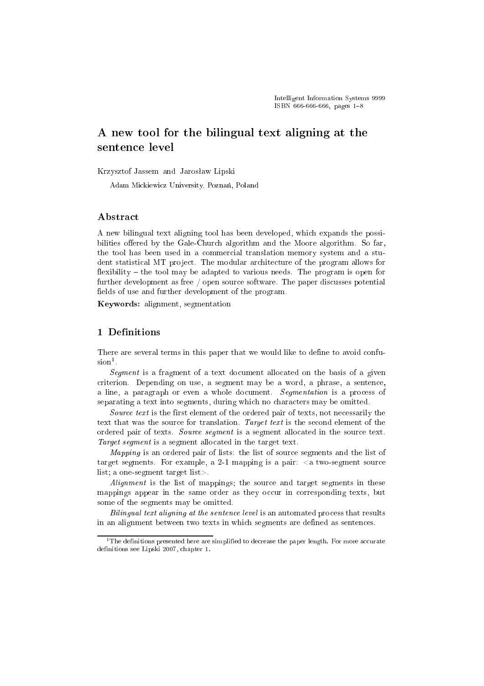# A new tool for the bilingual text aligning at the sentence level

Krzysztof Jassem and Jarosław Lipski

Adam Mickiewicz University, Poznań, Poland

## Abstract

A new bilingual text aligning tool has been developed, whi
h expands the possibilities offered by the Gale-Chur
h algorithm and the Moore algorithm. So far, the tool has been used in a ommer
ial translation memory system and a student statistical MT project. The modular architecture of the program allows for flexibility  $-$  the tool may be adapted to various needs. The program is open for further development as free / open source software. The paper discusses potential fields of use and further development of the program.

Keywords: alignment, segmentation

# 1 Definitions

There are several terms in this paper that we would like to define to avoid confu $s$ ion<sup>1</sup>.

Segment is a fragment of a text document allocated on the basis of a given riterion. Depending on use, a segment may be a word, a phrase, a senten
e, a line, a paragraph or even a whole document. Segmentation is a process of separating a text into segments, during which no characters may be omitted.

Source text is the first element of the ordered pair of texts, not necessarily the text that was the source for translation. Target text is the second element of the ordered pair of texts. Source segment is a segment allocated in the source text. Target segment is a segment allocated in the target text.

Mapping is an ordered pair of lists: the list of source segments and the list of target segments. For example, a 2-1 mapping is a pair:  $\langle a \cdot \rangle$  two-segment source list; a one-segment target list>.

Alignment is the list of mappings; the source and target segments in these mappings appear in the same order as they occur in corresponding texts, but some of the segments may be omitted.

Bilingual text aligning at the sentence level is an automated process that results in an alignment between two texts in whi
h segments are defined as senten
es.

<sup>&</sup>lt;sup>1</sup>The definitions presented here are simplified to decrease the paper length. For more accurate definitions see Lipski 2007, hapter 1.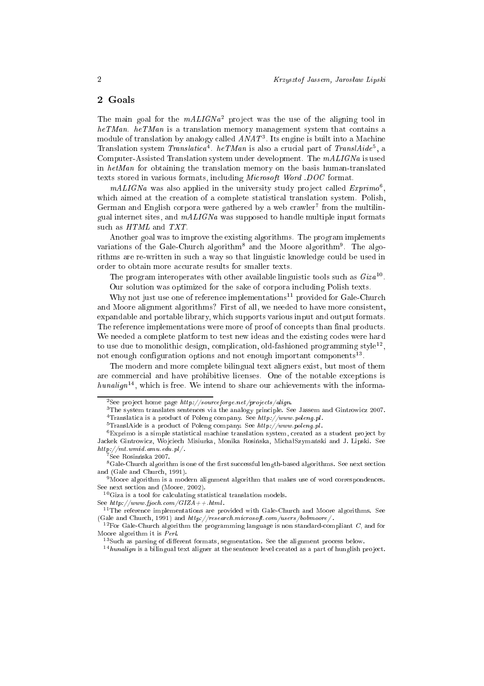## 2 Goals

I he main goal for the *mALIGNa*<sup>2</sup> project was the use of the aligning tool in  $heTMan.$  heTMan is a translation memory management system that contains a module of translation by analogy called  $ANAI$  . Its engine is built into a Machine Translation system *Translatica* The T*inum* is also a crucial part of *Translatue*, a Computer-Assisted Translation system under development. The  $mALIGNa$  is used in  $hetMan$  for obtaining the translation memory on the basis human-translated texts stored in various formats, including *Microsoft Word .DOC* format.

 $mALI$ GNa was also applied in the university study project called  $\emph{Exprimo}$ , which aimed at the creation of a complete statistical translation system. Polish, German and English corpora were gathered by a web crawler Trom the multilingual internet sites, and  $mALIGNa$  was supposed to handle multiple input formats such as  $HTML$  and  $TXT$ .

Another goal was to improve the existing algorithms. The program implements variations of the Gale-Church algorithm and the Moore algorithms. The algorithms are re-written in such a way so that linguistic knowledge could be used in order to obtain more accurate results for smaller texts.

I he program interoperates with other available imiguistic tools such as  $Giza^{-1}$ .

Our solution was optimized for the sake of orpora in
luding Polish texts.

Why not just use one of reference implementations<sup>11</sup> provided for Gale-Church and Moore alignment algorithms? First of all, we needed to have more consistent, expandable and portable library, whi
h supports various input and output formats. The reference implementations were more of proof of concepts than final products. We needed a complete platform to test new ideas and the existing codes were hard to use que to monolithic design, complication, old-fashioned programming style<sup>12</sup>, not enough configuration options and not enough important components<sup>--</sup>.

The modern and more complete bilingual text aligners exist, but most of them are ommer
ial and have prohibitive li
enses. One of the notable ex
eptions is  $numaryn$  , which is free. We intend to share our achievements with the informa-

See  $http://www.fjoch.com/GIZA++,html.$ 

<sup>-</sup>See project nome page *http://sourceforge.net/projects/align.* 

<sup>&</sup>lt;sup>3</sup>The system translates sentences via the analogy principle. See Jassem and Gintrowicz 2007.

<sup>&</sup>lt;sup>4</sup>Translatica is a product of Poleng company. See  $\mathit{http://www.poleng.pl.}$ 

<sup>&</sup>lt;sup>5</sup>TranslAide is a product of Poleng company. See  $http://www.polenq.pl.$ 

<sup>-</sup>Exprimo is a simple statistical machine translation system, created as a student project by Jackek Gintrowicz, Wojciech Misiurka, Monika Rosińska, Michał Szymański and J. Lipski. See  $http://mt.wmid amu.edu.nl/$ . http://mt.wmid.amu.edu.pl/ .

see Rosinnska 2007.

<sup>&</sup>lt;sup>8</sup>Gale-Church algorithm is one of the first successful length-based algorithms. See next section and (Gale and Chur
h, 1991).

 $9$ Moore algorithm is a modern alignment algorithm that makes use of word correspondences. See next section and (Moore, 2002).

 $^{10}$ Giza is a tool for calculating statistical translation models.

 $11$ The reference implementations are provided with Gale-Church and Moore algorithms. See (Gale and Church, 1991) and  $\hbar t p$ ://research.microsoft.com/users/bobmoore/.

<sup>&</sup>lt;sup>12</sup>For Gale-Church algorithm the programming language is non standard-compliant C, and for Moore algorithm it is Perl. Moore algorithm it is Perl.

<sup>&</sup>lt;sup>13</sup>Such as parsing of different formats, segmentation. See the alignment process below.

 $14$ hunalign is a bilingual text aligner at the sentence level created as a part of hunglish project.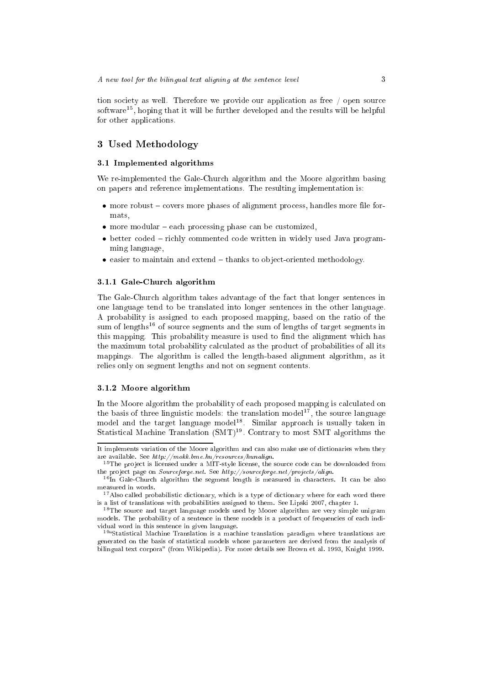tion society as well. Therefore we provide our application as free / open source software ), hoping that it will be further developed and the results will be helpful for other appli
ations.

## 3 Used Methodology

## 3.1 Implemented algorithms

We re-implemented the Gale-Church algorithm and the Moore algorithm basing on papers and referen
e implementations. The resulting implementation is:

- more robust covers more phases of alignment process, handles more file formats,
- more modular each processing phase can be customized,
- better coded richly commented code written in widely used Java programming language,
- $\bullet$  easier to maintain and extend  $-\text{thanks}$  to object-oriented methodology.

## 3.1.1 Gale-Chur
h algorithm

The Gale-Chur
h algorithm takes advantage of the fa
t that longer senten
es in one language tend to be translated into longer senten
es in the other language. A probability is assigned to ea
h proposed mapping, based on the ratio of the sum of lengths<sup>16</sup> of source segments and the sum of lengths of target segments in this mapping. This probability measure is used to find the alignment whi
h has the maximum total probability calculated as the product of probabilities of all its mappings. The algorithm is alled the length-based alignment algorithm, as it relies only on segment lengths and not on segment contents.

## 3.1.2 Moore algorithm

In the Moore algorithm the probability of each proposed mapping is calculated on the basis of three imiguistic models: the translation model  $\gamma$ , the source language model and the target language model18 . Similar approa
h is usually taken in Statistical Machine Translation (SMT)<sup>1</sup>. Contrary to most SMT algorithms the

It implements variation of the Moore algorithm and can also make use of dictionaries when they are available. See http://mokk.bme.hu/resour
es/hunalign.

<sup>&</sup>lt;sup>15</sup>The project is licensed under a MIT-style license, the source code can be downloaded from the project page on  $Sourceforget.$  See  $http://sourceforget.net/projects/align.$ 

<sup>16</sup> In Gale-Chur
h algorithm the segment length is measured in hara
ters. It an be also measured in words.

<sup>&</sup>lt;sup>17</sup> Also called probabilistic dictionary, which is a type of dictionary where for each word there is a list of translations with probabilities assigned to them. See Lipski 2007, hapter 1.

<sup>&</sup>lt;sup>18</sup>The source and target language models used by Moore algorithm are very simple unigram models. The probability of a sentence in these models is a product of frequencies of each individual word in this senten
e in given language.

tristatistical macnine Translation is a macnine translation paradigm where translations are generated on the basis of statisti
al models whose parameters are derived from the analysis of bilingual text corpora" (from Wikipedia). For more details see Brown et al. 1993, Knight 1999.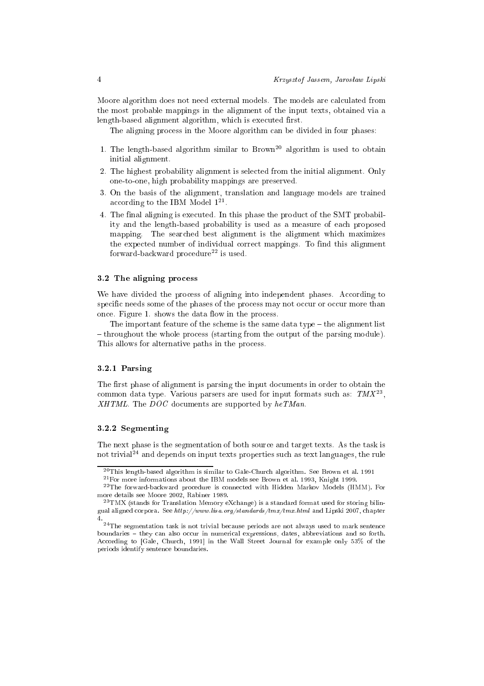Moore algorithm does not need external models. The models are calculated from the most probable mappings in the alignment of the input texts, obtained via a length-based alignment algorithm, whi
h is exe
uted first.

The aligning process in the Moore algorithm can be divided in four phases:

- 1. The length-based algorithm similar to  $Brown^{20}$  algorithm is used to obtain initial alignment.
- 2. The highest probability alignment is sele
ted from the initial alignment. Only one-to-one, high probability mappings are preserved.
- 3. On the basis of the alignment, translation and language models are trained according to the IBM Model 177.
- 4. The final aligning is exe
uted. In this phase the produ
t of the SMT probability and the length-based probability is used as a measure of ea
h proposed mapping. The sear
hed best alignment is the alignment whi
h maximizes the expe
ted number of individual orre
t mappings. To find this alignment forward-backward procedure<sup>22</sup> is used.

#### 3.2 The aligning pro
ess

We have divided the process of aligning into independent phases. According to specific needs some of the phases of the process may not occur or occur more than on
e. Figure 1. shows the data flow in the pro
ess.

The important feature of the scheme is the same data type  $-$  the alignment list -throughout the whole process (starting from the output of the parsing module). This allows for alternative paths in the process.

## 3.2.1 Parsing

The first phase of alignment is parsing the input do
uments in order to obtain the common data type. Various parsers are used for input formats such as:  $TM\Lambda^{-1}$ ,  $XHTML$ . The DOC documents are supported by  $heTMan$ .

#### 3.2.2 Segmenting

The next phase is the segmentation of both sour
e and target texts. As the task is not trivial24 and depends on input texts properties su
h as text languages, the rule

<sup>20</sup>This length-based algorithm is similar to Gale-Chur
h algorithm. See Brown et al. 1991

<sup>21</sup>For more informations about the IBM models see Brown et al. 1993, Knight 1999.

<sup>&</sup>lt;sup>22</sup>The forward-backward procedure is connected with Hidden Markov Models (HMM). For more details see Moore 2002, Rabiner 1989.

 $^{23}$ TMX (stands for Translation Memory eXchange) is a standard format used for storing bilingual aligned corpora. See http://www.lisa.org/standards/tmx/tmx.html and Lipski 2007, chapter 4.

<sup>&</sup>lt;sup>24</sup>The segmentation task is not trivial because periods are not always used to mark sentence boundaries – they can also occur in numerical expressions, dates, abbreviations and so forth. boundaries they an also o

ur in numeri
al expressions, dates, abbreviations and so forth. According to [Gale, Church, 1991] in the Wall Street Journal for example only 53% of the periods identify senten
e boundaries.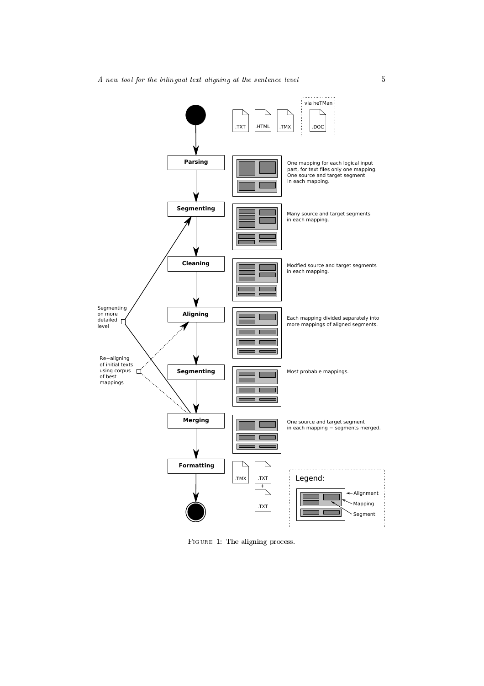A new tool for the bilingual text aligning at the sentence level  $5$ 



Figure 1: The aligning pro
ess.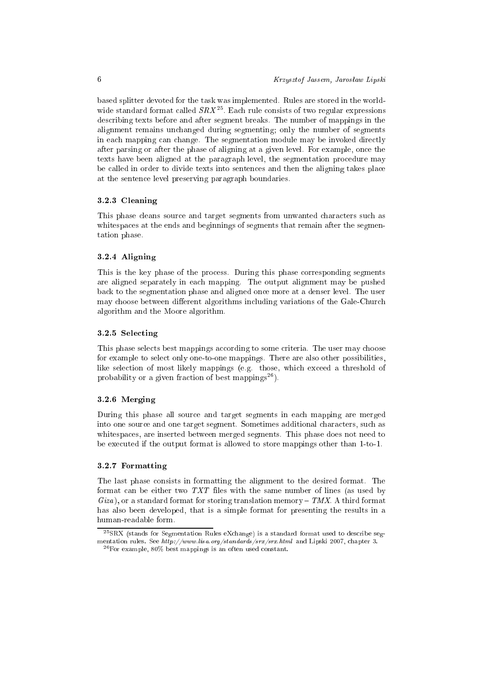based splitter devoted for the task was implemented. Rules are stored in the worldwide standard format called  $SRA$  . Each rule consists of two regular expressions des
ribing texts before and after segment breaks. The number of mappings in the alignment remains un
hanged during segmenting; only the number of segments in each mapping can change. The segmentation module may be invoked directly after parsing or after the phase of aligning at a given level. For example, on
e the texts have been aligned at the paragraph level, the segmentation pro
edure may be alled in order to divide texts into senten
es and then the aligning takes pla
e at the senten
e level preserving paragraph boundaries.

#### 3.2.3 Cleaning

This phase leans sour
e and target segments from unwanted hara
ters su
h as white spaces at the ends and beginnings of segments that remain after the segmentation phase.

## 3.2.4 Aligning

This is the key phase of the process. During this phase corresponding segments are aligned separately in ea
h mapping. The output alignment may be pushed ba
k to the segmentation phase and aligned on
e more at a denser level. The user may hoose between different algorithms in
luding variations of the Gale-Chur
h algorithm and the Moore algorithm.

#### 3.2.5 Sele
ting

This phase selects best mappings according to some criteria. The user may choose for example to select only one-to-one mappings. There are also other possibilities, like sele
tion of most likely mappings (e.g. those, whi
h ex
eed a threshold of probability or a given fraction of best mappings<sup>26</sup>).

## 3.2.6 Merging

During this phase all sour
e and target segments in ea
h mapping are merged into one sour
e and one target segment. Sometimes additional hara
ters, su
h as whitespa
es, are inserted between merged segments. This phase does not need to be exe
uted if the output format is allowed to store mappings other than 1-to-1.

#### 3.2.7 Formatting

The last phase onsists in formatting the alignment to the desired format. The format an be either two TXT files with the same number of lines (as used by  $Giza$ , or a standard format for storing translation memory  $-TMX$ . A third format has also been developed, that is a simple format for presenting the results in a human-readable form.

<sup>&</sup>lt;sup>25</sup>SRX (stands for Segmentation Rules eXchange) is a standard format used to describe segmentation rules. See http://www.lisa.org/standards/srx/srx.html and Lipski 2007, chapter 3.

<sup>26</sup>For example, 80% best mappings is an often used onstant.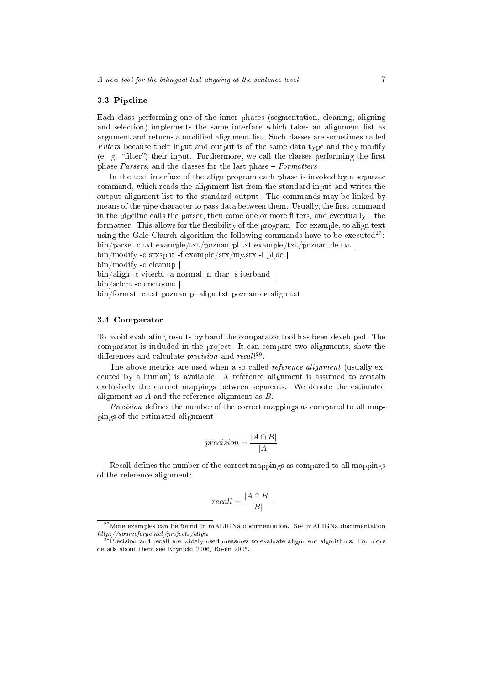#### 3.3 Pipeline

Ea
h lass performing one of the inner phases (segmentation, leaning, aligning and sele
tion) implements the same interfa
e whi
h takes an alignment list as argument and returns a modified alignment list. Such classes are sometimes called Filters because their input and output is of the same data type and they modify (e. g. "filter") their input. Furthermore, we call the classes performing the first phase *Parsers*, and the classes for the last phase  $-$  *Formatters*.

In the text interface of the align program each phase is invoked by a separate ommand, whi
h reads the alignment list from the standard input and writes the output alignment list to the standard output. The ommands may be linked by means of the pipe character to pass data between them. Usually, the first command in the pipeline calls the parser, then come one or more filters, and eventually  $-$  the formatter. This allows for the flexibility of the program. For example, to align text using the Gale-Church algorithm the following commands have to be executed<sup>27</sup>: bin/parse - txt example/txt/poznan-pl.txt example/txt/poznan-de.txt |

bin/modify - srxsplit -f example/srx/my.srx -l pl,de |

 $bin/molify -c$  cleanup  $\parallel$ 

bin/align -c viterbi -a normal -n char -s iterband |

bin/select -c onetoone |

bin/format - txt poznan-pl-align.txt poznan-de-align.txt

#### 3.4 Comparator

To avoid evaluating results by hand the omparator tool has been developed. The comparator is included in the project. It can compare two alignments, show the differences and calculate *precision* and recall<sup>--</sup>.

The above metrics are used when a so-called *reference alignment* (usually executed by a human) is available. A reference alignment is assumed to contain ex
lusively the orre
t mappings between segments. We denote the estimated alignment as  $A$  and the reference alignment as  $B$ .

Precision defines the number of the correct mappings as compared to all mappings of the estimated alignment:

$$
precision = \frac{|A \cap B|}{|A|}
$$

Recall defines the number of the correct mappings as compared to all mappings of the referen
e alignment:

$$
recall = \frac{|A \cap B|}{|B|}
$$

<sup>&</sup>lt;sup>27</sup>More examples can be found in mALIGNa documentation. See mALIGNa documentation http://sourceforge.net/projects/align

<sup>&</sup>lt;sup>28</sup> Precision and recall are widely used measures to evaluate alignment algorithms. For more details about them see Kryni
ki 2006, Rosen 2005.